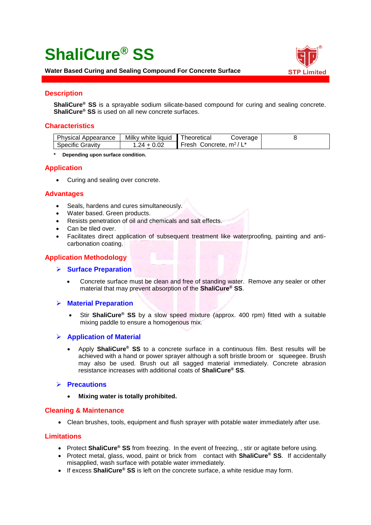# **ShaliCure® SS**



**Water Based Curing and Sealing Compound For Concrete Surface**

# **Description**

**ShaliCure® SS** is a sprayable sodium silicate-based compound for curing and sealing concrete. **ShaliCure® SS** is used on all new concrete surfaces.

## **Characteristics**

| <b>Physical Appearance</b> | Milky white liquid | Theoretical<br>Coverage   |  |
|----------------------------|--------------------|---------------------------|--|
| <b>Specific Gravity</b>    | .24 + 0.02         | Fresh Concrete, $m^2/L^*$ |  |

**\* Depending upon surface condition.**

## **Application**

• Curing and sealing over concrete.

#### **Advantages**

- Seals, hardens and cures simultaneously.
- Water based. Green products.
- Resists penetration of oil and chemicals and salt effects.
- Can be tiled over.
- Facilitates direct application of subsequent treatment like waterproofing, painting and anticarbonation coating.

# **Application Methodology**

- ➢ **Surface Preparation**
	- Concrete surface must be clean and free of standing water. Remove any sealer or other material that may prevent absorption of the **ShaliCure® SS**.

#### ➢ **Material Preparation**

• Stir **ShaliCure® SS** by a slow speed mixture (approx. 400 rpm) fitted with a suitable mixing paddle to ensure a homogenous mix.

#### ➢ **Application of Material**

• Apply **ShaliCure® SS** to a concrete surface in a continuous film. Best results will be achieved with a hand or power sprayer although a soft bristle broom or squeegee. Brush may also be used. Brush out all sagged material immediately. Concrete abrasion resistance increases with additional coats of **ShaliCure® SS**.

#### ➢ **Precautions**

• **Mixing water is totally prohibited.**

#### **Cleaning & Maintenance**

• Clean brushes, tools, equipment and flush sprayer with potable water immediately after use.

#### **Limitations**

- Protect **ShaliCure® SS** from freezing. In the event of freezing, , stir or agitate before using.
- Protect metal, glass, wood, paint or brick from contact with **ShaliCure® SS**. If accidentally misapplied, wash surface with potable water immediately.
- If excess **ShaliCure® SS** is left on the concrete surface, a white residue may form.